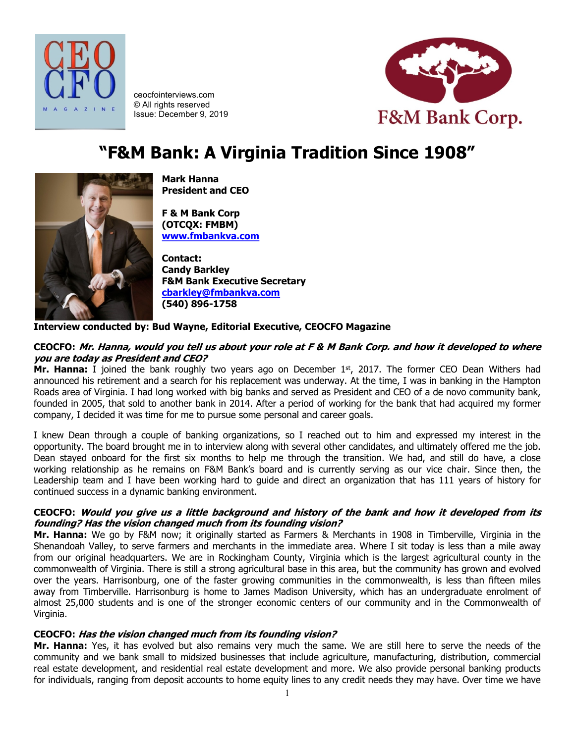



ceocfointerviews.com © All rights reserved Issue: December 9, 2019

# **"F&M Bank: A Virginia Tradition Since 1908"**



**Mark Hanna President and CEO**

**F & M Bank Corp (OTCQX: FMBM) [www.fmbankva.com](http://www.fmbankva.com/)**

**Contact: Candy Barkley F&M Bank Executive Secretary [cbarkley@fmbankva.com](mailto:cbarkley@fmbankva.com) (540) 896-1758**

#### **Interview conducted by: Bud Wayne, Editorial Executive, CEOCFO Magazine**

#### **CEOCFO: Mr. Hanna, would you tell us about your role at F & M Bank Corp. and how it developed to where you are today as President and CEO?**

**Mr. Hanna:** I joined the bank roughly two years ago on December 1<sup>st</sup>, 2017. The former CEO Dean Withers had announced his retirement and a search for his replacement was underway. At the time, I was in banking in the Hampton Roads area of Virginia. I had long worked with big banks and served as President and CEO of a de novo community bank, founded in 2005, that sold to another bank in 2014. After a period of working for the bank that had acquired my former company, I decided it was time for me to pursue some personal and career goals.

I knew Dean through a couple of banking organizations, so I reached out to him and expressed my interest in the opportunity. The board brought me in to interview along with several other candidates, and ultimately offered me the job. Dean stayed onboard for the first six months to help me through the transition. We had, and still do have, a close working relationship as he remains on F&M Bank's board and is currently serving as our vice chair. Since then, the Leadership team and I have been working hard to guide and direct an organization that has 111 years of history for continued success in a dynamic banking environment.

#### **CEOCFO: Would you give us a little background and history of the bank and how it developed from its founding? Has the vision changed much from its founding vision?**

**Mr. Hanna:** We go by F&M now; it originally started as Farmers & Merchants in 1908 in Timberville, Virginia in the Shenandoah Valley, to serve farmers and merchants in the immediate area. Where I sit today is less than a mile away from our original headquarters. We are in Rockingham County, Virginia which is the largest agricultural county in the commonwealth of Virginia. There is still a strong agricultural base in this area, but the community has grown and evolved over the years. Harrisonburg, one of the faster growing communities in the commonwealth, is less than fifteen miles away from Timberville. Harrisonburg is home to James Madison University, which has an undergraduate enrolment of almost 25,000 students and is one of the stronger economic centers of our community and in the Commonwealth of Virginia.

#### **CEOCFO: Has the vision changed much from its founding vision?**

**Mr. Hanna:** Yes, it has evolved but also remains very much the same. We are still here to serve the needs of the community and we bank small to midsized businesses that include agriculture, manufacturing, distribution, commercial real estate development, and residential real estate development and more. We also provide personal banking products for individuals, ranging from deposit accounts to home equity lines to any credit needs they may have. Over time we have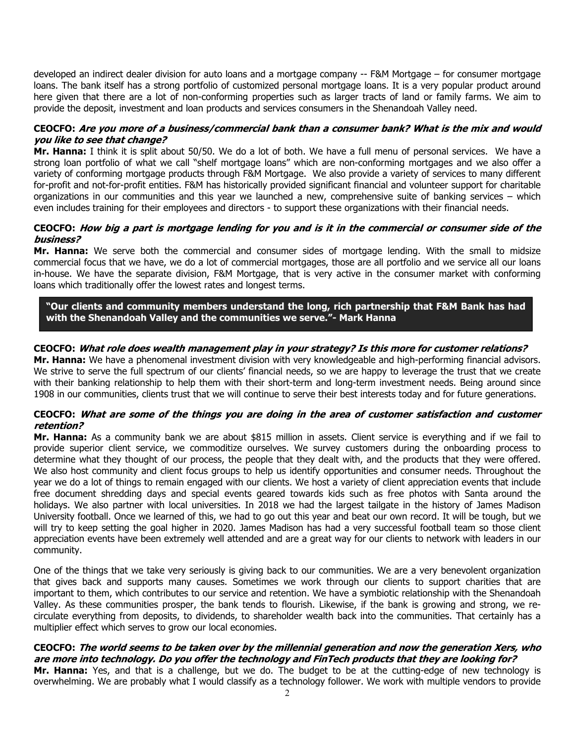developed an indirect dealer division for auto loans and a mortgage company -- F&M Mortgage – for consumer mortgage loans. The bank itself has a strong portfolio of customized personal mortgage loans. It is a very popular product around here given that there are a lot of non-conforming properties such as larger tracts of land or family farms. We aim to provide the deposit, investment and loan products and services consumers in the Shenandoah Valley need.

#### **CEOCFO: Are you more of a business/commercial bank than a consumer bank? What is the mix and would you like to see that change?**

**Mr. Hanna:** I think it is split about 50/50. We do a lot of both. We have a full menu of personal services. We have a strong loan portfolio of what we call "shelf mortgage loans" which are non-conforming mortgages and we also offer a variety of conforming mortgage products through F&M Mortgage. We also provide a variety of services to many different for-profit and not-for-profit entities. F&M has historically provided significant financial and volunteer support for charitable organizations in our communities and this year we launched a new, comprehensive suite of banking services – which even includes training for their employees and directors - to support these organizations with their financial needs.

#### **CEOCFO: How big a part is mortgage lending for you and is it in the commercial or consumer side of the business?**

**Mr. Hanna:** We serve both the commercial and consumer sides of mortgage lending. With the small to midsize commercial focus that we have, we do a lot of commercial mortgages, those are all portfolio and we service all our loans in-house. We have the separate division, F&M Mortgage, that is very active in the consumer market with conforming loans which traditionally offer the lowest rates and longest terms.

**"Our clients and community members understand the long, rich partnership that F&M Bank has had with the Shenandoah Valley and the communities we serve."- Mark Hanna**

# **CEOCFO: What role does wealth management play in your strategy? Is this more for customer relations?**

**Mr. Hanna:** We have a phenomenal investment division with very knowledgeable and high-performing financial advisors. We strive to serve the full spectrum of our clients' financial needs, so we are happy to leverage the trust that we create with their banking relationship to help them with their short-term and long-term investment needs. Being around since 1908 in our communities, clients trust that we will continue to serve their best interests today and for future generations.

#### **CEOCFO: What are some of the things you are doing in the area of customer satisfaction and customer retention?**

**Mr. Hanna:** As a community bank we are about \$815 million in assets. Client service is everything and if we fail to provide superior client service, we commoditize ourselves. We survey customers during the onboarding process to determine what they thought of our process, the people that they dealt with, and the products that they were offered. We also host community and client focus groups to help us identify opportunities and consumer needs. Throughout the year we do a lot of things to remain engaged with our clients. We host a variety of client appreciation events that include free document shredding days and special events geared towards kids such as free photos with Santa around the holidays. We also partner with local universities. In 2018 we had the largest tailgate in the history of James Madison University football. Once we learned of this, we had to go out this year and beat our own record. It will be tough, but we will try to keep setting the goal higher in 2020. James Madison has had a very successful football team so those client appreciation events have been extremely well attended and are a great way for our clients to network with leaders in our community.

One of the things that we take very seriously is giving back to our communities. We are a very benevolent organization that gives back and supports many causes. Sometimes we work through our clients to support charities that are important to them, which contributes to our service and retention. We have a symbiotic relationship with the Shenandoah Valley. As these communities prosper, the bank tends to flourish. Likewise, if the bank is growing and strong, we recirculate everything from deposits, to dividends, to shareholder wealth back into the communities. That certainly has a multiplier effect which serves to grow our local economies.

#### **CEOCFO: The world seems to be taken over by the millennial generation and now the generation Xers, who are more into technology. Do you offer the technology and FinTech products that they are looking for?**

**Mr. Hanna:** Yes, and that is a challenge, but we do. The budget to be at the cutting-edge of new technology is overwhelming. We are probably what I would classify as a technology follower. We work with multiple vendors to provide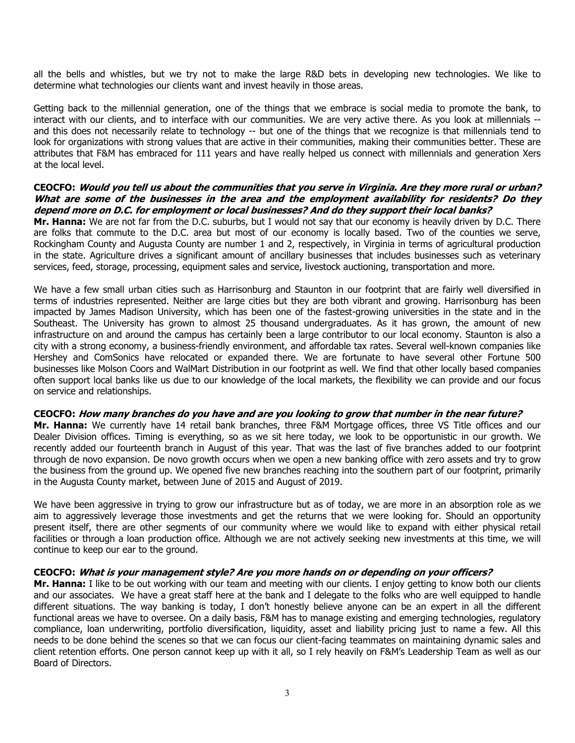all the bells and whistles, but we try not to make the large R&D bets in developing new technologies. We like to determine what technologies our clients want and invest heavily in those areas.

Getting back to the millennial generation, one of the things that we embrace is social media to promote the bank, to interact with our clients, and to interface with our communities. We are very active there. As you look at millennials - and this does not necessarily relate to technology -- but one of the things that we recognize is that millennials tend to look for organizations with strong values that are active in their communities, making their communities better. These are attributes that F&M has embraced for 111 years and have really helped us connect with millennials and generation Xers at the local level.

#### **CEOCFO: Would you tell us about the communities that you serve in Virginia. Are they more rural or urban? What are some of the businesses in the area and the employment availability for residents? Do they depend more on D.C. for employment or local businesses? And do they support their local banks?**

**Mr. Hanna:** We are not far from the D.C. suburbs, but I would not say that our economy is heavily driven by D.C. There are folks that commute to the D.C. area but most of our economy is locally based. Two of the counties we serve, Rockingham County and Augusta County are number 1 and 2, respectively, in Virginia in terms of agricultural production in the state. Agriculture drives a significant amount of ancillary businesses that includes businesses such as veterinary services, feed, storage, processing, equipment sales and service, livestock auctioning, transportation and more.

We have a few small urban cities such as Harrisonburg and Staunton in our footprint that are fairly well diversified in terms of industries represented. Neither are large cities but they are both vibrant and growing. Harrisonburg has been impacted by James Madison University, which has been one of the fastest-growing universities in the state and in the Southeast. The University has grown to almost 25 thousand undergraduates. As it has grown, the amount of new infrastructure on and around the campus has certainly been a large contributor to our local economy. Staunton is also a city with a strong economy, a business-friendly environment, and affordable tax rates. Several well-known companies like Hershey and ComSonics have relocated or expanded there. We are fortunate to have several other Fortune 500 businesses like Molson Coors and WalMart Distribution in our footprint as well. We find that other locally based companies often support local banks like us due to our knowledge of the local markets, the flexibility we can provide and our focus on service and relationships.

#### **CEOCFO: How many branches do you have and are you looking to grow that number in the near future?**

**Mr. Hanna:** We currently have 14 retail bank branches, three F&M Mortgage offices, three VS Title offices and our Dealer Division offices. Timing is everything, so as we sit here today, we look to be opportunistic in our growth. We recently added our fourteenth branch in August of this year. That was the last of five branches added to our footprint through de novo expansion. De novo growth occurs when we open a new banking office with zero assets and try to grow the business from the ground up. We opened five new branches reaching into the southern part of our footprint, primarily in the Augusta County market, between June of 2015 and August of 2019.

We have been aggressive in trying to grow our infrastructure but as of today, we are more in an absorption role as we aim to aggressively leverage those investments and get the returns that we were looking for. Should an opportunity present itself, there are other segments of our community where we would like to expand with either physical retail facilities or through a loan production office. Although we are not actively seeking new investments at this time, we will continue to keep our ear to the ground.

#### **CEOCFO: What is your management style? Are you more hands on or depending on your officers?**

**Mr. Hanna:** I like to be out working with our team and meeting with our clients. I enjoy getting to know both our clients and our associates. We have a great staff here at the bank and I delegate to the folks who are well equipped to handle different situations. The way banking is today, I don't honestly believe anyone can be an expert in all the different functional areas we have to oversee. On a daily basis, F&M has to manage existing and emerging technologies, regulatory compliance, loan underwriting, portfolio diversification, liquidity, asset and liability pricing just to name a few. All this needs to be done behind the scenes so that we can focus our client-facing teammates on maintaining dynamic sales and client retention efforts. One person cannot keep up with it all, so I rely heavily on F&M's Leadership Team as well as our Board of Directors.